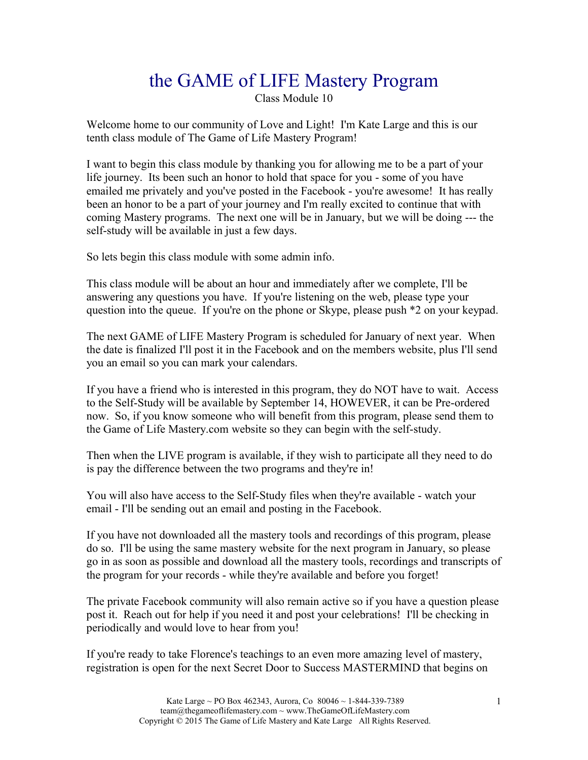# the GAME of LIFE Mastery Program

Class Module 10

Welcome home to our community of Love and Light! I'm Kate Large and this is our tenth class module of The Game of Life Mastery Program!

I want to begin this class module by thanking you for allowing me to be a part of your life journey. Its been such an honor to hold that space for you - some of you have emailed me privately and you've posted in the Facebook - you're awesome! It has really been an honor to be a part of your journey and I'm really excited to continue that with coming Mastery programs. The next one will be in January, but we will be doing --- the self-study will be available in just a few days.

So lets begin this class module with some admin info.

This class module will be about an hour and immediately after we complete, I'll be answering any questions you have. If you're listening on the web, please type your question into the queue. If you're on the phone or Skype, please push \*2 on your keypad.

The next GAME of LIFE Mastery Program is scheduled for January of next year. When the date is finalized I'll post it in the Facebook and on the members website, plus I'll send you an email so you can mark your calendars.

If you have a friend who is interested in this program, they do NOT have to wait. Access to the Self-Study will be available by September 14, HOWEVER, it can be Pre-ordered now. So, if you know someone who will benefit from this program, please send them to the Game of Life Mastery.com website so they can begin with the self-study.

Then when the LIVE program is available, if they wish to participate all they need to do is pay the difference between the two programs and they're in!

You will also have access to the Self-Study files when they're available - watch your email - I'll be sending out an email and posting in the Facebook.

If you have not downloaded all the mastery tools and recordings of this program, please do so. I'll be using the same mastery website for the next program in January, so please go in as soon as possible and download all the mastery tools, recordings and transcripts of the program for your records - while they're available and before you forget!

The private Facebook community will also remain active so if you have a question please post it. Reach out for help if you need it and post your celebrations! I'll be checking in periodically and would love to hear from you!

If you're ready to take Florence's teachings to an even more amazing level of mastery, registration is open for the next Secret Door to Success MASTERMIND that begins on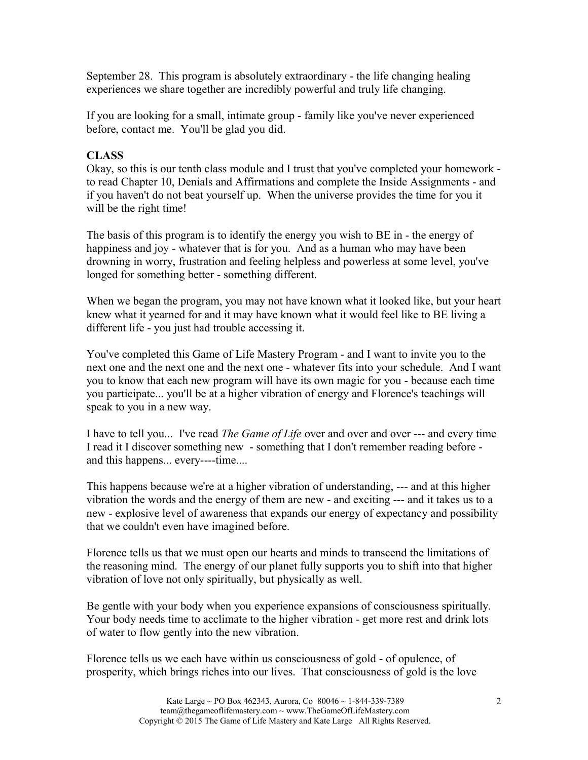September 28. This program is absolutely extraordinary - the life changing healing experiences we share together are incredibly powerful and truly life changing.

If you are looking for a small, intimate group - family like you've never experienced before, contact me. You'll be glad you did.

## **CLASS**

Okay, so this is our tenth class module and I trust that you've completed your homework to read Chapter 10, Denials and Affirmations and complete the Inside Assignments - and if you haven't do not beat yourself up. When the universe provides the time for you it will be the right time!

The basis of this program is to identify the energy you wish to BE in - the energy of happiness and joy - whatever that is for you. And as a human who may have been drowning in worry, frustration and feeling helpless and powerless at some level, you've longed for something better - something different.

When we began the program, you may not have known what it looked like, but your heart knew what it yearned for and it may have known what it would feel like to BE living a different life - you just had trouble accessing it.

You've completed this Game of Life Mastery Program - and I want to invite you to the next one and the next one and the next one - whatever fits into your schedule. And I want you to know that each new program will have its own magic for you - because each time you participate... you'll be at a higher vibration of energy and Florence's teachings will speak to you in a new way.

I have to tell you... I've read *The Game of Life* over and over and over --- and every time I read it I discover something new - something that I don't remember reading before and this happens... every----time....

This happens because we're at a higher vibration of understanding, --- and at this higher vibration the words and the energy of them are new - and exciting --- and it takes us to a new - explosive level of awareness that expands our energy of expectancy and possibility that we couldn't even have imagined before.

Florence tells us that we must open our hearts and minds to transcend the limitations of the reasoning mind. The energy of our planet fully supports you to shift into that higher vibration of love not only spiritually, but physically as well.

Be gentle with your body when you experience expansions of consciousness spiritually. Your body needs time to acclimate to the higher vibration - get more rest and drink lots of water to flow gently into the new vibration.

Florence tells us we each have within us consciousness of gold - of opulence, of prosperity, which brings riches into our lives. That consciousness of gold is the love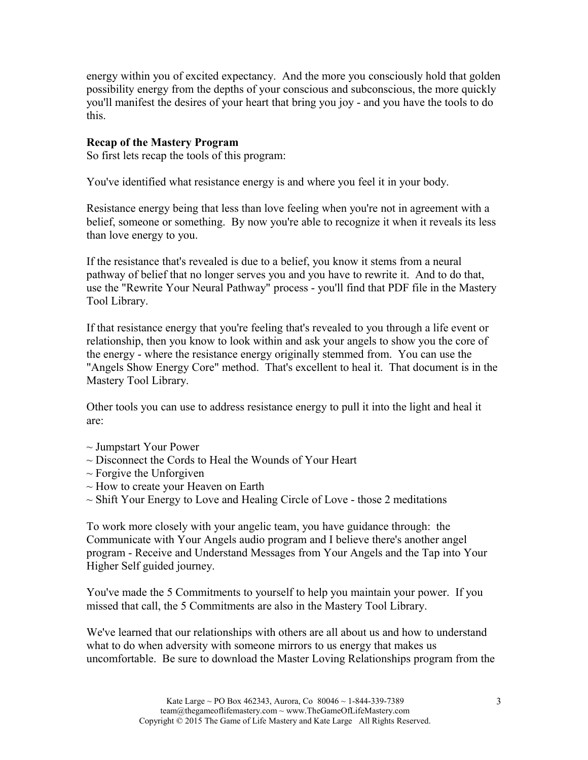energy within you of excited expectancy. And the more you consciously hold that golden possibility energy from the depths of your conscious and subconscious, the more quickly you'll manifest the desires of your heart that bring you joy - and you have the tools to do this.

### **Recap of the Mastery Program**

So first lets recap the tools of this program:

You've identified what resistance energy is and where you feel it in your body.

Resistance energy being that less than love feeling when you're not in agreement with a belief, someone or something. By now you're able to recognize it when it reveals its less than love energy to you.

If the resistance that's revealed is due to a belief, you know it stems from a neural pathway of belief that no longer serves you and you have to rewrite it. And to do that, use the "Rewrite Your Neural Pathway" process - you'll find that PDF file in the Mastery Tool Library.

If that resistance energy that you're feeling that's revealed to you through a life event or relationship, then you know to look within and ask your angels to show you the core of the energy - where the resistance energy originally stemmed from. You can use the "Angels Show Energy Core" method. That's excellent to heal it. That document is in the Mastery Tool Library.

Other tools you can use to address resistance energy to pull it into the light and heal it are:

- $\sim$  Jumpstart Your Power
- ~ Disconnect the Cords to Heal the Wounds of Your Heart
- $\sim$  Forgive the Unforgiven
- $\sim$  How to create your Heaven on Earth
- $\sim$  Shift Your Energy to Love and Healing Circle of Love those 2 meditations

To work more closely with your angelic team, you have guidance through: the Communicate with Your Angels audio program and I believe there's another angel program - Receive and Understand Messages from Your Angels and the Tap into Your Higher Self guided journey.

You've made the 5 Commitments to yourself to help you maintain your power. If you missed that call, the 5 Commitments are also in the Mastery Tool Library.

We've learned that our relationships with others are all about us and how to understand what to do when adversity with someone mirrors to us energy that makes us uncomfortable. Be sure to download the Master Loving Relationships program from the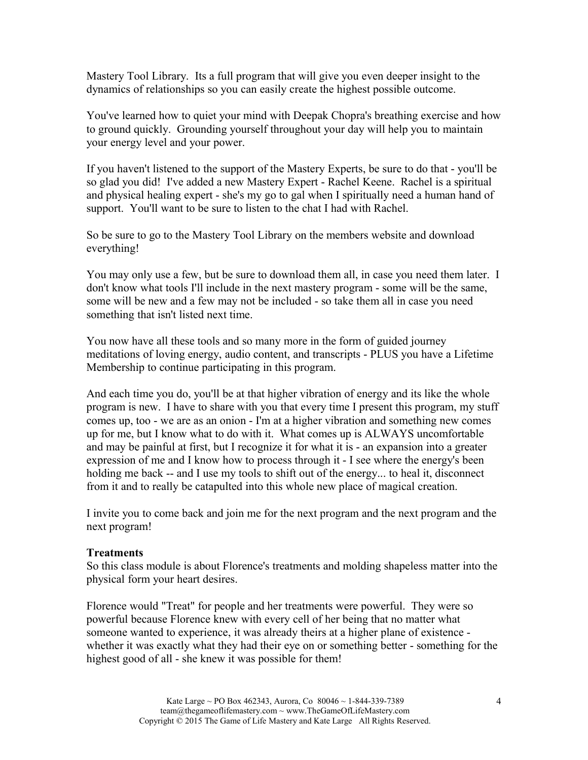Mastery Tool Library. Its a full program that will give you even deeper insight to the dynamics of relationships so you can easily create the highest possible outcome.

You've learned how to quiet your mind with Deepak Chopra's breathing exercise and how to ground quickly. Grounding yourself throughout your day will help you to maintain your energy level and your power.

If you haven't listened to the support of the Mastery Experts, be sure to do that - you'll be so glad you did! I've added a new Mastery Expert - Rachel Keene. Rachel is a spiritual and physical healing expert - she's my go to gal when I spiritually need a human hand of support. You'll want to be sure to listen to the chat I had with Rachel.

So be sure to go to the Mastery Tool Library on the members website and download everything!

You may only use a few, but be sure to download them all, in case you need them later. I don't know what tools I'll include in the next mastery program - some will be the same, some will be new and a few may not be included - so take them all in case you need something that isn't listed next time.

You now have all these tools and so many more in the form of guided journey meditations of loving energy, audio content, and transcripts - PLUS you have a Lifetime Membership to continue participating in this program.

And each time you do, you'll be at that higher vibration of energy and its like the whole program is new. I have to share with you that every time I present this program, my stuff comes up, too - we are as an onion - I'm at a higher vibration and something new comes up for me, but I know what to do with it. What comes up is ALWAYS uncomfortable and may be painful at first, but I recognize it for what it is - an expansion into a greater expression of me and I know how to process through it - I see where the energy's been holding me back -- and I use my tools to shift out of the energy... to heal it, disconnect from it and to really be catapulted into this whole new place of magical creation.

I invite you to come back and join me for the next program and the next program and the next program!

#### **Treatments**

So this class module is about Florence's treatments and molding shapeless matter into the physical form your heart desires.

Florence would "Treat" for people and her treatments were powerful. They were so powerful because Florence knew with every cell of her being that no matter what someone wanted to experience, it was already theirs at a higher plane of existence whether it was exactly what they had their eye on or something better - something for the highest good of all - she knew it was possible for them!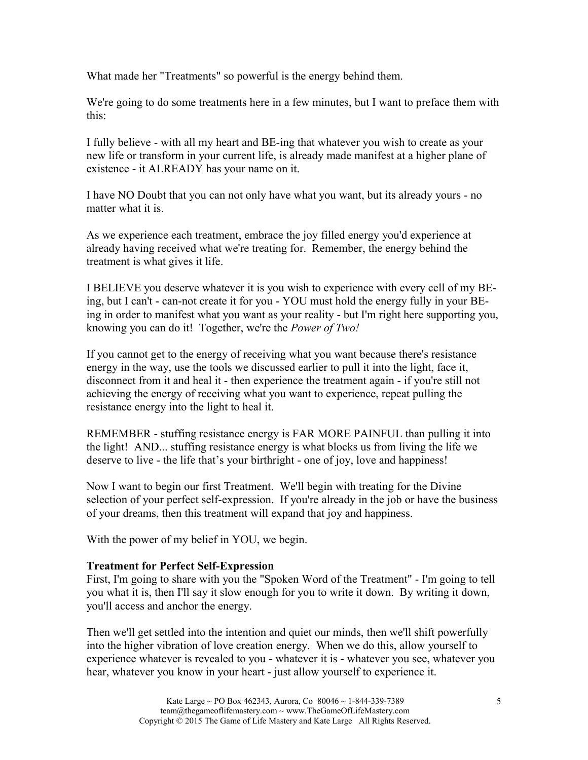What made her "Treatments" so powerful is the energy behind them.

We're going to do some treatments here in a few minutes, but I want to preface them with this:

I fully believe - with all my heart and BE-ing that whatever you wish to create as your new life or transform in your current life, is already made manifest at a higher plane of existence - it ALREADY has your name on it.

I have NO Doubt that you can not only have what you want, but its already yours - no matter what it is.

As we experience each treatment, embrace the joy filled energy you'd experience at already having received what we're treating for. Remember, the energy behind the treatment is what gives it life.

I BELIEVE you deserve whatever it is you wish to experience with every cell of my BEing, but I can't - can-not create it for you - YOU must hold the energy fully in your BEing in order to manifest what you want as your reality - but I'm right here supporting you, knowing you can do it! Together, we're the *Power of Two!*

If you cannot get to the energy of receiving what you want because there's resistance energy in the way, use the tools we discussed earlier to pull it into the light, face it, disconnect from it and heal it - then experience the treatment again - if you're still not achieving the energy of receiving what you want to experience, repeat pulling the resistance energy into the light to heal it.

REMEMBER - stuffing resistance energy is FAR MORE PAINFUL than pulling it into the light! AND... stuffing resistance energy is what blocks us from living the life we deserve to live - the life that's your birthright - one of joy, love and happiness!

Now I want to begin our first Treatment. We'll begin with treating for the Divine selection of your perfect self-expression. If you're already in the job or have the business of your dreams, then this treatment will expand that joy and happiness.

With the power of my belief in YOU, we begin.

#### **Treatment for Perfect Self-Expression**

First, I'm going to share with you the "Spoken Word of the Treatment" - I'm going to tell you what it is, then I'll say it slow enough for you to write it down. By writing it down, you'll access and anchor the energy.

Then we'll get settled into the intention and quiet our minds, then we'll shift powerfully into the higher vibration of love creation energy. When we do this, allow yourself to experience whatever is revealed to you - whatever it is - whatever you see, whatever you hear, whatever you know in your heart - just allow yourself to experience it.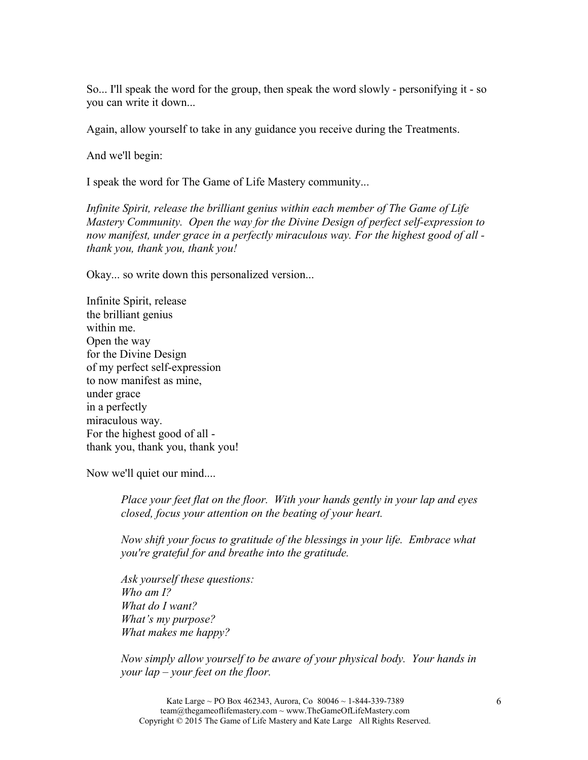So... I'll speak the word for the group, then speak the word slowly - personifying it - so you can write it down...

Again, allow yourself to take in any guidance you receive during the Treatments.

And we'll begin:

I speak the word for The Game of Life Mastery community...

*Infinite Spirit, release the brilliant genius within each member of The Game of Life Mastery Community. Open the way for the Divine Design of perfect self-expression to now manifest, under grace in a perfectly miraculous way. For the highest good of all thank you, thank you, thank you!*

Okay... so write down this personalized version...

Infinite Spirit, release the brilliant genius within me. Open the way for the Divine Design of my perfect self-expression to now manifest as mine, under grace in a perfectly miraculous way. For the highest good of all thank you, thank you, thank you!

Now we'll quiet our mind....

*Place your feet flat on the floor. With your hands gently in your lap and eyes closed, focus your attention on the beating of your heart.*

*Now shift your focus to gratitude of the blessings in your life. Embrace what you're grateful for and breathe into the gratitude.*

*Ask yourself these questions: Who am I? What do I want? What's my purpose? What makes me happy?*

*Now simply allow yourself to be aware of your physical body. Your hands in your lap – your feet on the floor.*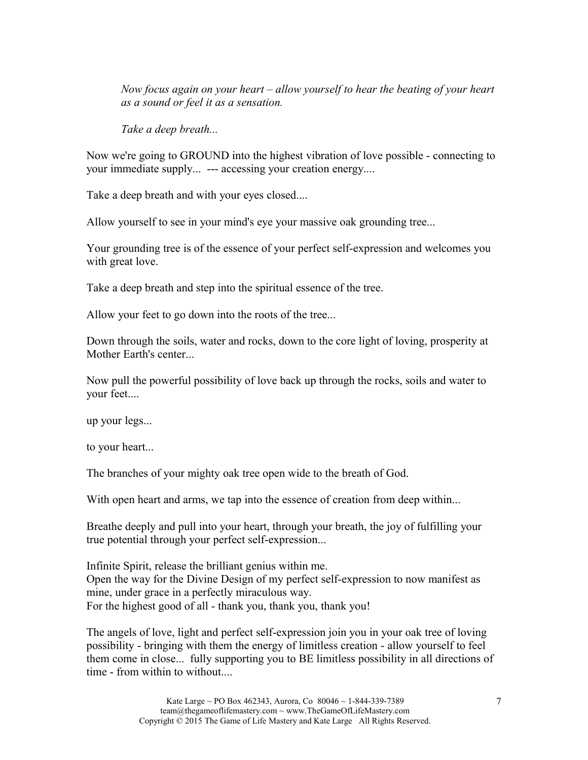*Now focus again on your heart – allow yourself to hear the beating of your heart as a sound or feel it as a sensation.*

*Take a deep breath...*

Now we're going to GROUND into the highest vibration of love possible - connecting to your immediate supply... --- accessing your creation energy....

Take a deep breath and with your eyes closed....

Allow yourself to see in your mind's eye your massive oak grounding tree...

Your grounding tree is of the essence of your perfect self-expression and welcomes you with great love.

Take a deep breath and step into the spiritual essence of the tree.

Allow your feet to go down into the roots of the tree...

Down through the soils, water and rocks, down to the core light of loving, prosperity at Mother Earth's center...

Now pull the powerful possibility of love back up through the rocks, soils and water to your feet....

up your legs...

to your heart...

The branches of your mighty oak tree open wide to the breath of God.

With open heart and arms, we tap into the essence of creation from deep within...

Breathe deeply and pull into your heart, through your breath, the joy of fulfilling your true potential through your perfect self-expression...

Infinite Spirit, release the brilliant genius within me. Open the way for the Divine Design of my perfect self-expression to now manifest as mine, under grace in a perfectly miraculous way. For the highest good of all - thank you, thank you, thank you!

The angels of love, light and perfect self-expression join you in your oak tree of loving possibility - bringing with them the energy of limitless creation - allow yourself to feel them come in close... fully supporting you to BE limitless possibility in all directions of time - from within to without...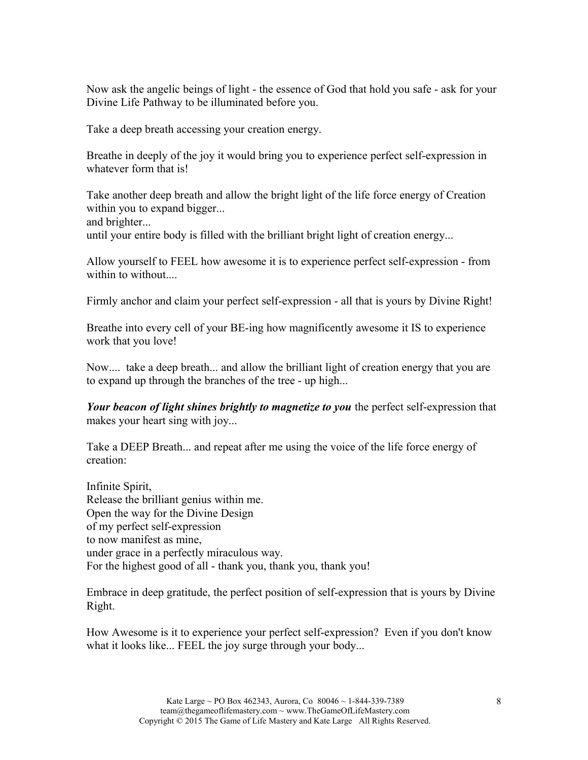Now ask the angelic beings of light - the essence of God that hold you safe - ask for your Divine Life Pathway to be illuminated before you.

Take a deep breath accessing your creation energy.

Breathe in deeply of the joy it would bring you to experience perfect self-expression in whatever form that is!

Take another deep breath and allow the bright light of the life force energy of Creation within you to expand bigger... and brighter...

until your entire body is filled with the brilliant bright light of creation energy...

Allow yourself to FEEL how awesome it is to experience perfect self-expression - from within to without....

Firmly anchor and claim your perfect self-expression - all that is yours by Divine Right!

Breathe into every cell of your BE-ing how magnificently awesome it IS to experience work that you love!

Now.... take a deep breath... and allow the brilliant light of creation energy that you are to expand up through the branches of the tree - up high...

*Your beacon of light shines brightly to magnetize to you* the perfect self-expression that makes your heart sing with joy...

Take a DEEP Breath... and repeat after me using the voice of the life force energy of creation:

Infinite Spirit, Release the brilliant genius within me. Open the way for the Divine Design of my perfect self-expression to now manifest as mine, under grace in a perfectly miraculous way. For the highest good of all - thank you, thank you, thank you!

Embrace in deep gratitude, the perfect position of self-expression that is yours by Divine Right.

How Awesome is it to experience your perfect self-expression? Even if you don't know what it looks like... FEEL the joy surge through your body...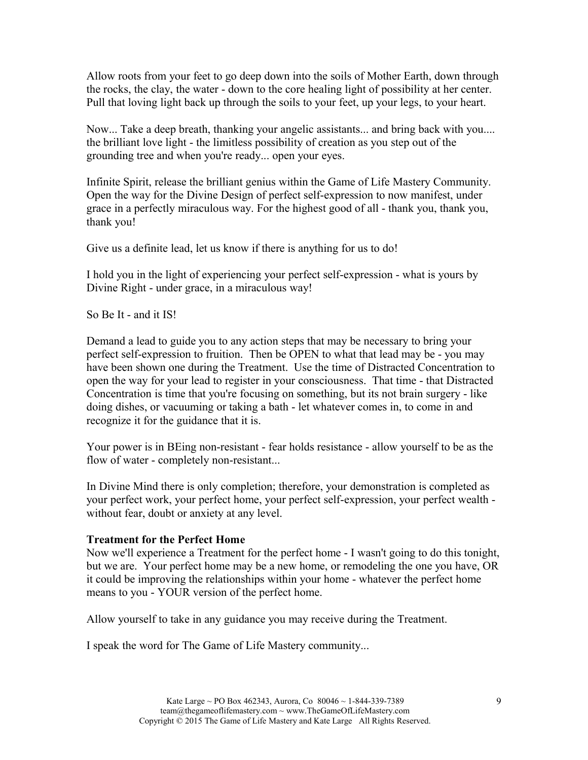Allow roots from your feet to go deep down into the soils of Mother Earth, down through the rocks, the clay, the water - down to the core healing light of possibility at her center. Pull that loving light back up through the soils to your feet, up your legs, to your heart.

Now... Take a deep breath, thanking your angelic assistants... and bring back with you.... the brilliant love light - the limitless possibility of creation as you step out of the grounding tree and when you're ready... open your eyes.

Infinite Spirit, release the brilliant genius within the Game of Life Mastery Community. Open the way for the Divine Design of perfect self-expression to now manifest, under grace in a perfectly miraculous way. For the highest good of all - thank you, thank you, thank you!

Give us a definite lead, let us know if there is anything for us to do!

I hold you in the light of experiencing your perfect self-expression - what is yours by Divine Right - under grace, in a miraculous way!

So Be It - and it IS!

Demand a lead to guide you to any action steps that may be necessary to bring your perfect self-expression to fruition. Then be OPEN to what that lead may be - you may have been shown one during the Treatment. Use the time of Distracted Concentration to open the way for your lead to register in your consciousness. That time - that Distracted Concentration is time that you're focusing on something, but its not brain surgery - like doing dishes, or vacuuming or taking a bath - let whatever comes in, to come in and recognize it for the guidance that it is.

Your power is in BEing non-resistant - fear holds resistance - allow yourself to be as the flow of water - completely non-resistant...

In Divine Mind there is only completion; therefore, your demonstration is completed as your perfect work, your perfect home, your perfect self-expression, your perfect wealth without fear, doubt or anxiety at any level.

## **Treatment for the Perfect Home**

Now we'll experience a Treatment for the perfect home - I wasn't going to do this tonight, but we are. Your perfect home may be a new home, or remodeling the one you have, OR it could be improving the relationships within your home - whatever the perfect home means to you - YOUR version of the perfect home.

Allow yourself to take in any guidance you may receive during the Treatment.

I speak the word for The Game of Life Mastery community...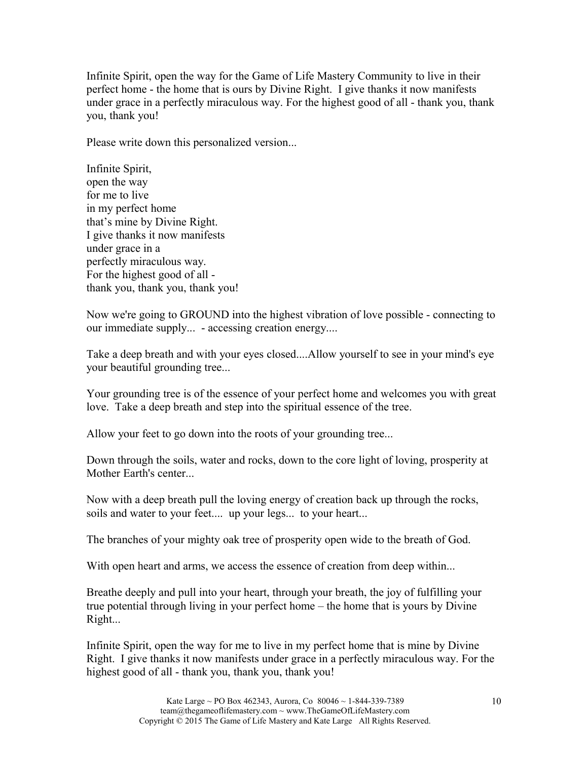Infinite Spirit, open the way for the Game of Life Mastery Community to live in their perfect home - the home that is ours by Divine Right. I give thanks it now manifests under grace in a perfectly miraculous way. For the highest good of all - thank you, thank you, thank you!

Please write down this personalized version...

Infinite Spirit, open the way for me to live in my perfect home that's mine by Divine Right. I give thanks it now manifests under grace in a perfectly miraculous way. For the highest good of all thank you, thank you, thank you!

Now we're going to GROUND into the highest vibration of love possible - connecting to our immediate supply... - accessing creation energy....

Take a deep breath and with your eyes closed....Allow yourself to see in your mind's eye your beautiful grounding tree...

Your grounding tree is of the essence of your perfect home and welcomes you with great love. Take a deep breath and step into the spiritual essence of the tree.

Allow your feet to go down into the roots of your grounding tree...

Down through the soils, water and rocks, down to the core light of loving, prosperity at Mother Earth's center...

Now with a deep breath pull the loving energy of creation back up through the rocks, soils and water to your feet.... up your legs... to your heart...

The branches of your mighty oak tree of prosperity open wide to the breath of God.

With open heart and arms, we access the essence of creation from deep within...

Breathe deeply and pull into your heart, through your breath, the joy of fulfilling your true potential through living in your perfect home – the home that is yours by Divine Right...

Infinite Spirit, open the way for me to live in my perfect home that is mine by Divine Right. I give thanks it now manifests under grace in a perfectly miraculous way. For the highest good of all - thank you, thank you, thank you!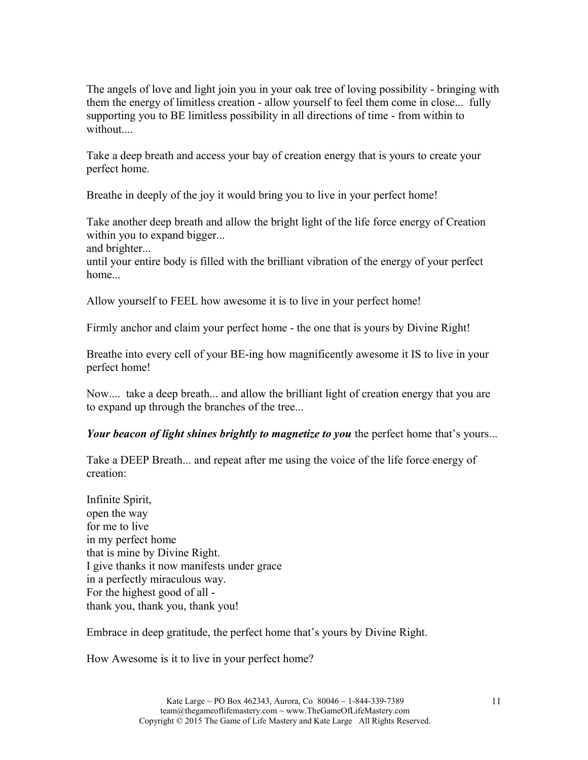The angels of love and light join you in your oak tree of loving possibility - bringing with them the energy of limitless creation - allow yourself to feel them come in close... fully supporting you to BE limitless possibility in all directions of time - from within to without....

Take a deep breath and access your bay of creation energy that is yours to create your perfect home.

Breathe in deeply of the joy it would bring you to live in your perfect home!

Take another deep breath and allow the bright light of the life force energy of Creation within you to expand bigger...

and brighter...

until your entire body is filled with the brilliant vibration of the energy of your perfect home...

Allow yourself to FEEL how awesome it is to live in your perfect home!

Firmly anchor and claim your perfect home - the one that is yours by Divine Right!

Breathe into every cell of your BE-ing how magnificently awesome it IS to live in your perfect home!

Now.... take a deep breath... and allow the brilliant light of creation energy that you are to expand up through the branches of the tree...

*Your beacon of light shines brightly to magnetize to you* the perfect home that's yours...

Take a DEEP Breath... and repeat after me using the voice of the life force energy of creation:

Infinite Spirit, open the way for me to live in my perfect home that is mine by Divine Right. I give thanks it now manifests under grace in a perfectly miraculous way. For the highest good of all thank you, thank you, thank you!

Embrace in deep gratitude, the perfect home that's yours by Divine Right.

How Awesome is it to live in your perfect home?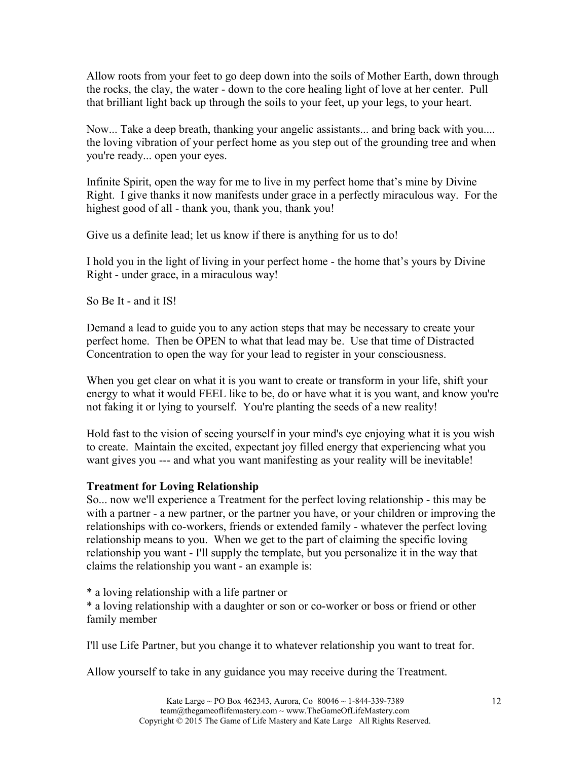Allow roots from your feet to go deep down into the soils of Mother Earth, down through the rocks, the clay, the water - down to the core healing light of love at her center. Pull that brilliant light back up through the soils to your feet, up your legs, to your heart.

Now... Take a deep breath, thanking your angelic assistants... and bring back with you.... the loving vibration of your perfect home as you step out of the grounding tree and when you're ready... open your eyes.

Infinite Spirit, open the way for me to live in my perfect home that's mine by Divine Right. I give thanks it now manifests under grace in a perfectly miraculous way. For the highest good of all - thank you, thank you, thank you!

Give us a definite lead; let us know if there is anything for us to do!

I hold you in the light of living in your perfect home - the home that's yours by Divine Right - under grace, in a miraculous way!

So Be It - and it IS!

Demand a lead to guide you to any action steps that may be necessary to create your perfect home. Then be OPEN to what that lead may be. Use that time of Distracted Concentration to open the way for your lead to register in your consciousness.

When you get clear on what it is you want to create or transform in your life, shift your energy to what it would FEEL like to be, do or have what it is you want, and know you're not faking it or lying to yourself. You're planting the seeds of a new reality!

Hold fast to the vision of seeing yourself in your mind's eye enjoying what it is you wish to create. Maintain the excited, expectant joy filled energy that experiencing what you want gives you --- and what you want manifesting as your reality will be inevitable!

## **Treatment for Loving Relationship**

So... now we'll experience a Treatment for the perfect loving relationship - this may be with a partner - a new partner, or the partner you have, or your children or improving the relationships with co-workers, friends or extended family - whatever the perfect loving relationship means to you. When we get to the part of claiming the specific loving relationship you want - I'll supply the template, but you personalize it in the way that claims the relationship you want - an example is:

\* a loving relationship with a life partner or

\* a loving relationship with a daughter or son or co-worker or boss or friend or other family member

I'll use Life Partner, but you change it to whatever relationship you want to treat for.

Allow yourself to take in any guidance you may receive during the Treatment.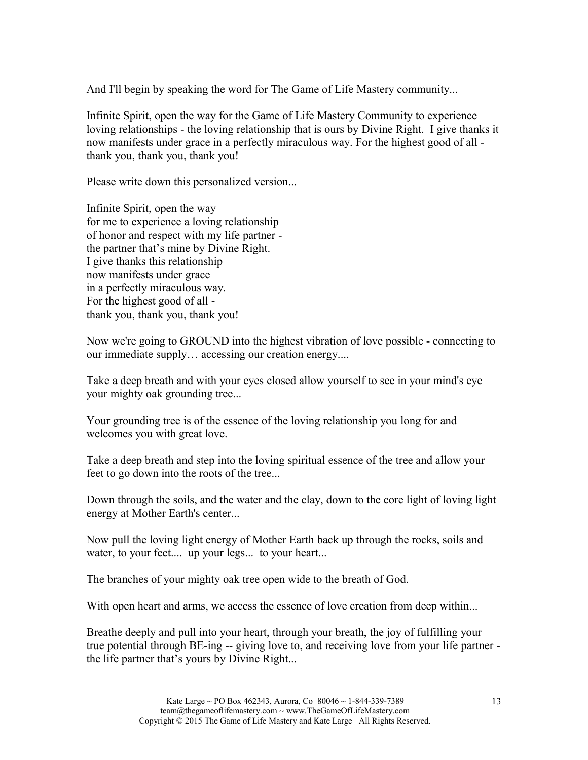And I'll begin by speaking the word for The Game of Life Mastery community...

Infinite Spirit, open the way for the Game of Life Mastery Community to experience loving relationships - the loving relationship that is ours by Divine Right. I give thanks it now manifests under grace in a perfectly miraculous way. For the highest good of all thank you, thank you, thank you!

Please write down this personalized version...

Infinite Spirit, open the way for me to experience a loving relationship of honor and respect with my life partner the partner that's mine by Divine Right. I give thanks this relationship now manifests under grace in a perfectly miraculous way. For the highest good of all thank you, thank you, thank you!

Now we're going to GROUND into the highest vibration of love possible - connecting to our immediate supply… accessing our creation energy....

Take a deep breath and with your eyes closed allow yourself to see in your mind's eye your mighty oak grounding tree...

Your grounding tree is of the essence of the loving relationship you long for and welcomes you with great love.

Take a deep breath and step into the loving spiritual essence of the tree and allow your feet to go down into the roots of the tree...

Down through the soils, and the water and the clay, down to the core light of loving light energy at Mother Earth's center...

Now pull the loving light energy of Mother Earth back up through the rocks, soils and water, to your feet.... up your legs... to your heart...

The branches of your mighty oak tree open wide to the breath of God.

With open heart and arms, we access the essence of love creation from deep within...

Breathe deeply and pull into your heart, through your breath, the joy of fulfilling your true potential through BE-ing -- giving love to, and receiving love from your life partner the life partner that's yours by Divine Right...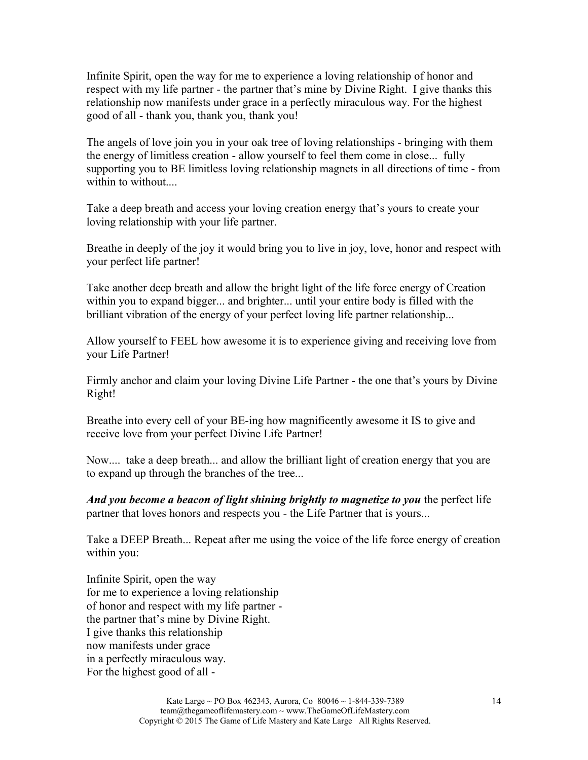Infinite Spirit, open the way for me to experience a loving relationship of honor and respect with my life partner - the partner that's mine by Divine Right. I give thanks this relationship now manifests under grace in a perfectly miraculous way. For the highest good of all - thank you, thank you, thank you!

The angels of love join you in your oak tree of loving relationships - bringing with them the energy of limitless creation - allow yourself to feel them come in close... fully supporting you to BE limitless loving relationship magnets in all directions of time - from within to without....

Take a deep breath and access your loving creation energy that's yours to create your loving relationship with your life partner.

Breathe in deeply of the joy it would bring you to live in joy, love, honor and respect with your perfect life partner!

Take another deep breath and allow the bright light of the life force energy of Creation within you to expand bigger... and brighter... until your entire body is filled with the brilliant vibration of the energy of your perfect loving life partner relationship...

Allow yourself to FEEL how awesome it is to experience giving and receiving love from your Life Partner!

Firmly anchor and claim your loving Divine Life Partner - the one that's yours by Divine Right!

Breathe into every cell of your BE-ing how magnificently awesome it IS to give and receive love from your perfect Divine Life Partner!

Now.... take a deep breath... and allow the brilliant light of creation energy that you are to expand up through the branches of the tree...

*And you become a beacon of light shining brightly to magnetize to you* the perfect life partner that loves honors and respects you - the Life Partner that is yours...

Take a DEEP Breath... Repeat after me using the voice of the life force energy of creation within you:

Infinite Spirit, open the way for me to experience a loving relationship of honor and respect with my life partner the partner that's mine by Divine Right. I give thanks this relationship now manifests under grace in a perfectly miraculous way. For the highest good of all -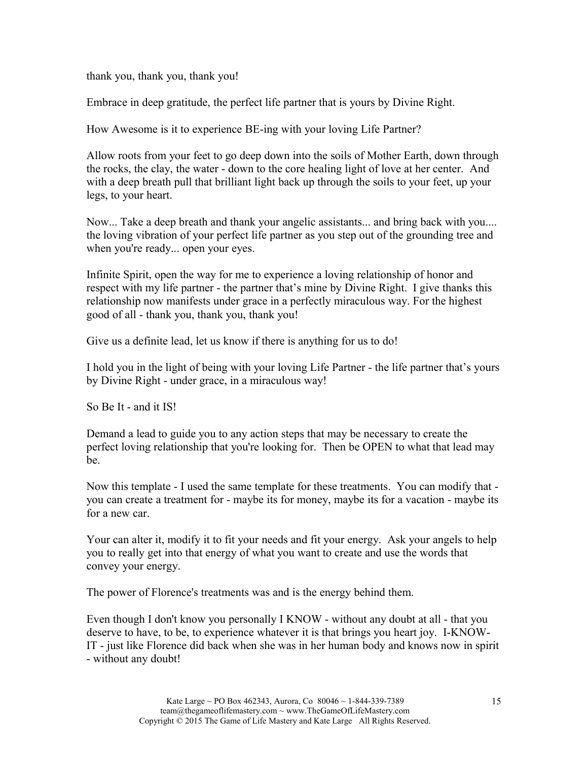thank you, thank you, thank you!

Embrace in deep gratitude, the perfect life partner that is yours by Divine Right.

How Awesome is it to experience BE-ing with your loving Life Partner?

Allow roots from your feet to go deep down into the soils of Mother Earth, down through the rocks, the clay, the water - down to the core healing light of love at her center. And with a deep breath pull that brilliant light back up through the soils to your feet, up your legs, to your heart.

Now... Take a deep breath and thank your angelic assistants... and bring back with you.... the loving vibration of your perfect life partner as you step out of the grounding tree and when you're ready... open your eyes.

Infinite Spirit, open the way for me to experience a loving relationship of honor and respect with my life partner - the partner that's mine by Divine Right. I give thanks this relationship now manifests under grace in a perfectly miraculous way. For the highest good of all - thank you, thank you, thank you!

Give us a definite lead, let us know if there is anything for us to do!

I hold you in the light of being with your loving Life Partner - the life partner that's yours by Divine Right - under grace, in a miraculous way!

So Be It - and it IS!

Demand a lead to guide you to any action steps that may be necessary to create the perfect loving relationship that you're looking for. Then be OPEN to what that lead may be.

Now this template - I used the same template for these treatments. You can modify that you can create a treatment for - maybe its for money, maybe its for a vacation - maybe its for a new car.

Your can alter it, modify it to fit your needs and fit your energy. Ask your angels to help you to really get into that energy of what you want to create and use the words that convey your energy.

The power of Florence's treatments was and is the energy behind them.

Even though I don't know you personally I KNOW - without any doubt at all - that you deserve to have, to be, to experience whatever it is that brings you heart joy. I-KNOW-IT - just like Florence did back when she was in her human body and knows now in spirit - without any doubt!